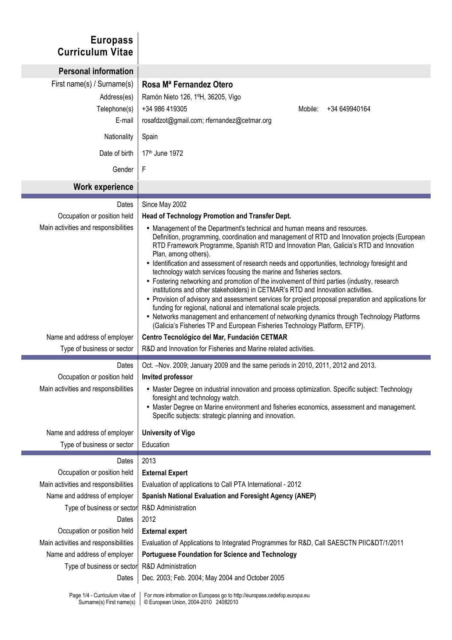| <b>Europass</b><br><b>Curriculum Vitae</b>                          |                                                                                                                                                                                                                                                                                                                                                                                                                                                                                                                                                                                                                                                                                                                                                                                                                                                                                                                                                                                                                  |
|---------------------------------------------------------------------|------------------------------------------------------------------------------------------------------------------------------------------------------------------------------------------------------------------------------------------------------------------------------------------------------------------------------------------------------------------------------------------------------------------------------------------------------------------------------------------------------------------------------------------------------------------------------------------------------------------------------------------------------------------------------------------------------------------------------------------------------------------------------------------------------------------------------------------------------------------------------------------------------------------------------------------------------------------------------------------------------------------|
| <b>Personal information</b>                                         |                                                                                                                                                                                                                                                                                                                                                                                                                                                                                                                                                                                                                                                                                                                                                                                                                                                                                                                                                                                                                  |
| First name(s) / Surname(s)<br>Address(es)<br>Telephone(s)<br>E-mail | Rosa M <sup>ª</sup> Fernandez Otero<br>Ramón Nieto 126, 1ºH, 36205, Vigo<br>+34 986 419305<br>Mobile:<br>+34 649940164<br>rosafdzot@gmail.com; rfernandez@cetmar.org                                                                                                                                                                                                                                                                                                                                                                                                                                                                                                                                                                                                                                                                                                                                                                                                                                             |
| Nationality                                                         | Spain                                                                                                                                                                                                                                                                                                                                                                                                                                                                                                                                                                                                                                                                                                                                                                                                                                                                                                                                                                                                            |
| Date of birth                                                       | 17th June 1972                                                                                                                                                                                                                                                                                                                                                                                                                                                                                                                                                                                                                                                                                                                                                                                                                                                                                                                                                                                                   |
| Gender                                                              | F                                                                                                                                                                                                                                                                                                                                                                                                                                                                                                                                                                                                                                                                                                                                                                                                                                                                                                                                                                                                                |
| <b>Work experience</b>                                              |                                                                                                                                                                                                                                                                                                                                                                                                                                                                                                                                                                                                                                                                                                                                                                                                                                                                                                                                                                                                                  |
| Dates                                                               | Since May 2002                                                                                                                                                                                                                                                                                                                                                                                                                                                                                                                                                                                                                                                                                                                                                                                                                                                                                                                                                                                                   |
| Occupation or position held                                         | Head of Technology Promotion and Transfer Dept.                                                                                                                                                                                                                                                                                                                                                                                                                                                                                                                                                                                                                                                                                                                                                                                                                                                                                                                                                                  |
| Main activities and responsibilities                                | • Management of the Department's technical and human means and resources.<br>Definition, programming, coordination and management of RTD and Innovation projects (European<br>RTD Framework Programme, Spanish RTD and Innovation Plan, Galicia's RTD and Innovation<br>Plan, among others).<br>• Identification and assessment of research needs and opportunities, technology foresight and<br>technology watch services focusing the marine and fisheries sectors.<br>• Fostering networking and promotion of the involvement of third parties (industry, research<br>institutions and other stakeholders) in CETMAR's RTD and Innovation activities.<br>• Provision of advisory and assessment services for project proposal preparation and applications for<br>funding for regional, national and international scale projects.<br>• Networks management and enhancement of networking dynamics through Technology Platforms<br>(Galicia's Fisheries TP and European Fisheries Technology Platform, EFTP). |
| Name and address of employer                                        | Centro Tecnológico del Mar, Fundación CETMAR                                                                                                                                                                                                                                                                                                                                                                                                                                                                                                                                                                                                                                                                                                                                                                                                                                                                                                                                                                     |
| Type of business or sector                                          | R&D and Innovation for Fisheries and Marine related activities.                                                                                                                                                                                                                                                                                                                                                                                                                                                                                                                                                                                                                                                                                                                                                                                                                                                                                                                                                  |
| Dates                                                               | Oct. -Nov. 2009; January 2009 and the same periods in 2010, 2011, 2012 and 2013.                                                                                                                                                                                                                                                                                                                                                                                                                                                                                                                                                                                                                                                                                                                                                                                                                                                                                                                                 |
| Occupation or position held                                         | Invited professor                                                                                                                                                                                                                                                                                                                                                                                                                                                                                                                                                                                                                                                                                                                                                                                                                                                                                                                                                                                                |
| Main activities and responsibilities                                | • Master Degree on industrial innovation and process optimization. Specific subject: Technology<br>foresight and technology watch.<br>• Master Degree on Marine environment and fisheries economics, assessment and management.<br>Specific subjects: strategic planning and innovation.                                                                                                                                                                                                                                                                                                                                                                                                                                                                                                                                                                                                                                                                                                                         |
| Name and address of employer                                        | <b>University of Vigo</b>                                                                                                                                                                                                                                                                                                                                                                                                                                                                                                                                                                                                                                                                                                                                                                                                                                                                                                                                                                                        |
| Type of business or sector                                          | Education                                                                                                                                                                                                                                                                                                                                                                                                                                                                                                                                                                                                                                                                                                                                                                                                                                                                                                                                                                                                        |
| Dates                                                               | 2013                                                                                                                                                                                                                                                                                                                                                                                                                                                                                                                                                                                                                                                                                                                                                                                                                                                                                                                                                                                                             |
| Occupation or position held                                         | <b>External Expert</b>                                                                                                                                                                                                                                                                                                                                                                                                                                                                                                                                                                                                                                                                                                                                                                                                                                                                                                                                                                                           |
| Main activities and responsibilities                                | Evaluation of applications to Call PTA International - 2012                                                                                                                                                                                                                                                                                                                                                                                                                                                                                                                                                                                                                                                                                                                                                                                                                                                                                                                                                      |
| Name and address of employer                                        | Spanish National Evaluation and Foresight Agency (ANEP)                                                                                                                                                                                                                                                                                                                                                                                                                                                                                                                                                                                                                                                                                                                                                                                                                                                                                                                                                          |
| Type of business or sector                                          | <b>R&amp;D</b> Administration                                                                                                                                                                                                                                                                                                                                                                                                                                                                                                                                                                                                                                                                                                                                                                                                                                                                                                                                                                                    |
| Dates                                                               | 2012                                                                                                                                                                                                                                                                                                                                                                                                                                                                                                                                                                                                                                                                                                                                                                                                                                                                                                                                                                                                             |
| Occupation or position held                                         | <b>External expert</b>                                                                                                                                                                                                                                                                                                                                                                                                                                                                                                                                                                                                                                                                                                                                                                                                                                                                                                                                                                                           |
| Main activities and responsibilities                                | Evaluation of Applications to Integrated Programmes for R&D, Call SAESCTN PIIC&DT/1/2011                                                                                                                                                                                                                                                                                                                                                                                                                                                                                                                                                                                                                                                                                                                                                                                                                                                                                                                         |
| Name and address of employer                                        | <b>Portuguese Foundation for Science and Technology</b>                                                                                                                                                                                                                                                                                                                                                                                                                                                                                                                                                                                                                                                                                                                                                                                                                                                                                                                                                          |
| Type of business or sector                                          | <b>R&amp;D</b> Administration                                                                                                                                                                                                                                                                                                                                                                                                                                                                                                                                                                                                                                                                                                                                                                                                                                                                                                                                                                                    |
| Dates                                                               | Dec. 2003; Feb. 2004; May 2004 and October 2005                                                                                                                                                                                                                                                                                                                                                                                                                                                                                                                                                                                                                                                                                                                                                                                                                                                                                                                                                                  |
| Page 1/4 - Curriculum vitae of<br>Surname(s) First name(s)          | For more information on Europass go to http://europass.cedefop.europa.eu<br>© European Union, 2004-2010 24082010                                                                                                                                                                                                                                                                                                                                                                                                                                                                                                                                                                                                                                                                                                                                                                                                                                                                                                 |

F

**Tara**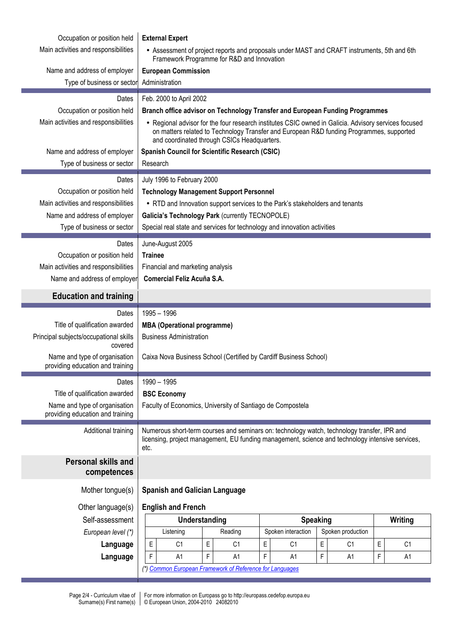| Occupation or position held<br>Main activities and responsibilities<br>Name and address of employer                                                               | <b>External Expert</b><br>• Assessment of project reports and proposals under MAST and CRAFT instruments, 5th and 6th<br>Framework Programme for R&D and Innovation<br><b>European Commission</b>                                                                                                                                                                                                                   |  |
|-------------------------------------------------------------------------------------------------------------------------------------------------------------------|---------------------------------------------------------------------------------------------------------------------------------------------------------------------------------------------------------------------------------------------------------------------------------------------------------------------------------------------------------------------------------------------------------------------|--|
| Type of business or sector                                                                                                                                        | Administration                                                                                                                                                                                                                                                                                                                                                                                                      |  |
| Dates<br>Occupation or position held<br>Main activities and responsibilities<br>Name and address of employer                                                      | Feb. 2000 to April 2002<br>Branch office advisor on Technology Transfer and European Funding Programmes<br>• Regional advisor for the four research institutes CSIC owned in Galicia. Advisory services focused<br>on matters related to Technology Transfer and European R&D funding Programmes, supported<br>and coordinated through CSICs Headquarters.<br><b>Spanish Council for Scientific Research (CSIC)</b> |  |
| Type of business or sector                                                                                                                                        | Research                                                                                                                                                                                                                                                                                                                                                                                                            |  |
| Dates<br>Occupation or position held<br>Main activities and responsibilities<br>Name and address of employer<br>Type of business or sector<br>Dates               | July 1996 to February 2000<br><b>Technology Management Support Personnel</b><br>• RTD and Innovation support services to the Park's stakeholders and tenants<br>Galicia's Technology Park (currently TECNOPOLE)<br>Special real state and services for technology and innovation activities                                                                                                                         |  |
| Occupation or position held<br>Main activities and responsibilities<br>Name and address of employer                                                               | June-August 2005<br><b>Trainee</b><br>Financial and marketing analysis<br>Comercial Feliz Acuña S.A.                                                                                                                                                                                                                                                                                                                |  |
| <b>Education and training</b>                                                                                                                                     |                                                                                                                                                                                                                                                                                                                                                                                                                     |  |
| Dates<br>Title of qualification awarded<br>Principal subjects/occupational skills<br>covered<br>Name and type of organisation<br>providing education and training | 1995 - 1996<br><b>MBA (Operational programme)</b><br><b>Business Administration</b><br>Caixa Nova Business School (Certified by Cardiff Business School)                                                                                                                                                                                                                                                            |  |
| Dates<br>Title of qualification awarded<br>Name and type of organisation<br>providing education and training                                                      | 1990 - 1995<br><b>BSC Economy</b><br>Faculty of Economics, University of Santiago de Compostela                                                                                                                                                                                                                                                                                                                     |  |
| Additional training                                                                                                                                               | Numerous short-term courses and seminars on: technology watch, technology transfer, IPR and<br>licensing, project management, EU funding management, science and technology intensive services,<br>etc.                                                                                                                                                                                                             |  |
| <b>Personal skills and</b><br>competences                                                                                                                         |                                                                                                                                                                                                                                                                                                                                                                                                                     |  |
| Mother tongue(s)                                                                                                                                                  | <b>Spanish and Galician Language</b>                                                                                                                                                                                                                                                                                                                                                                                |  |
| Other language(s)<br>Self-assessment<br>European level (*)                                                                                                        | <b>English and French</b><br>Understanding<br><b>Speaking</b><br>Writing<br>Spoken interaction<br>Spoken production<br>Listening<br>Reading                                                                                                                                                                                                                                                                         |  |
| Language<br>Language                                                                                                                                              | E<br>E<br>E<br>$\mathsf E$<br>$\mathsf E$<br>C <sub>1</sub><br>C <sub>1</sub><br>C <sub>1</sub><br>C <sub>1</sub><br>C <sub>1</sub><br>F<br>F<br>A1<br>F<br>F<br>F<br>A <sub>1</sub><br>A <sub>1</sub><br>A <sub>1</sub><br>A1<br>(*) Common European Framework of Reference for Languages                                                                                                                          |  |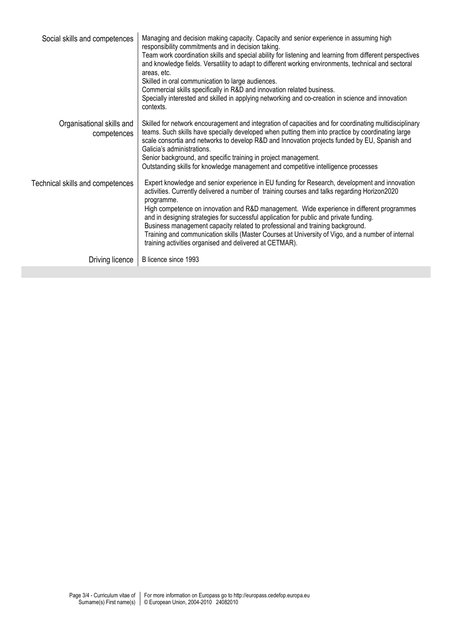| Social skills and competences            | Managing and decision making capacity. Capacity and senior experience in assuming high<br>responsibility commitments and in decision taking.<br>Team work coordination skills and special ability for listening and learning from different perspectives<br>and knowledge fields. Versatility to adapt to different working environments, technical and sectoral<br>areas, etc.<br>Skilled in oral communication to large audiences.<br>Commercial skills specifically in R&D and innovation related business.<br>Specially interested and skilled in applying networking and co-creation in science and innovation<br>contexts.                    |
|------------------------------------------|-----------------------------------------------------------------------------------------------------------------------------------------------------------------------------------------------------------------------------------------------------------------------------------------------------------------------------------------------------------------------------------------------------------------------------------------------------------------------------------------------------------------------------------------------------------------------------------------------------------------------------------------------------|
| Organisational skills and<br>competences | Skilled for network encouragement and integration of capacities and for coordinating multidisciplinary<br>teams. Such skills have specially developed when putting them into practice by coordinating large<br>scale consortia and networks to develop R&D and Innovation projects funded by EU, Spanish and<br>Galicia's administrations.<br>Senior background, and specific training in project management.<br>Outstanding skills for knowledge management and competitive intelligence processes                                                                                                                                                 |
| Technical skills and competences         | Expert knowledge and senior experience in EU funding for Research, development and innovation<br>activities. Currently delivered a number of training courses and talks regarding Horizon2020<br>programme.<br>High competence on innovation and R&D management. Wide experience in different programmes<br>and in designing strategies for successful application for public and private funding.<br>Business management capacity related to professional and training background.<br>Training and communication skills (Master Courses at University of Vigo, and a number of internal<br>training activities organised and delivered at CETMAR). |
| Driving licence                          | B licence since 1993                                                                                                                                                                                                                                                                                                                                                                                                                                                                                                                                                                                                                                |